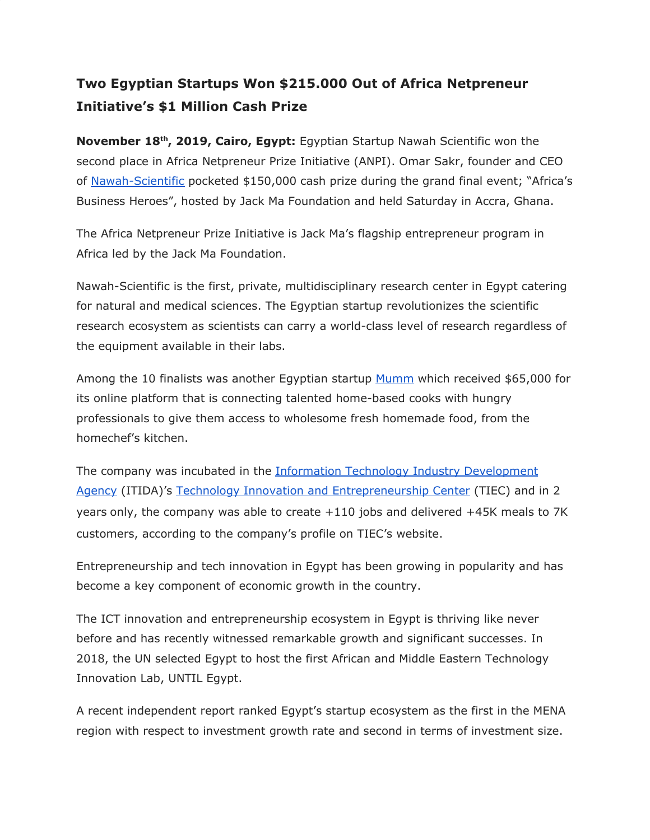## **Two Egyptian Startups Won \$215.000 Out of Africa Netpreneur Initiative's \$1 Million Cash Prize**

**November 18th , 2019, Cairo, Egypt:** Egyptian Startup Nawah Scientific won the second place in Africa Netpreneur Prize Initiative (ANPI). Omar Sakr, founder and CEO of [Nawah-Scientific](https://nawah-scientific.com/) [p](https://nawah-scientific.com/)ocketed \$150,000 cash prize during the grand final event; "Africa's Business Heroes", hosted by Jack Ma Foundation and held Saturday in Accra, Ghana.

The Africa Netpreneur Prize Initiative is Jack Ma's flagship entrepreneur program in Africa led by the Jack Ma Foundation.

Nawah-Scientific is the first, private, multidisciplinary research center in Egypt catering for natural and medical sciences. The Egyptian startup revolutionizes the scientific research ecosystem as scientists can carry a world-class level of research regardless of the equipment available in their labs.

Among the 10 finalists was another Egyptian startup [Mumm](https://www.getmumm.com/) which received \$65,000 for its online platform that is connecting talented home-based cooks with hungry professionals to give them access to wholesome fresh homemade food, from the homechef's kitchen.

The company was incubated in the **[Information Technology Industry Development](http://www.itida.gov.eg/)** [Agency](http://www.itida.gov.eg/) (ITIDA)'s [Technology Innovation and Entrepreneurship Center](http://www.tiec.gov.eg/) (TIEC) and in 2 years only, the company was able to create +110 jobs and delivered +45K meals to 7K customers, according to the company's profile on TIEC's website.

Entrepreneurship and tech innovation in Egypt has been growing in popularity and has become a key component of economic growth in the country.

The ICT innovation and entrepreneurship ecosystem in Egypt is thriving like never before and has recently witnessed remarkable growth and significant successes. In 2018, the UN selected Egypt to host the first African and Middle Eastern Technology Innovation Lab, UNTIL Egypt.

A recent independent report ranked Egypt's startup ecosystem as the first in the MENA region with respect to investment growth rate and second in terms of investment size.